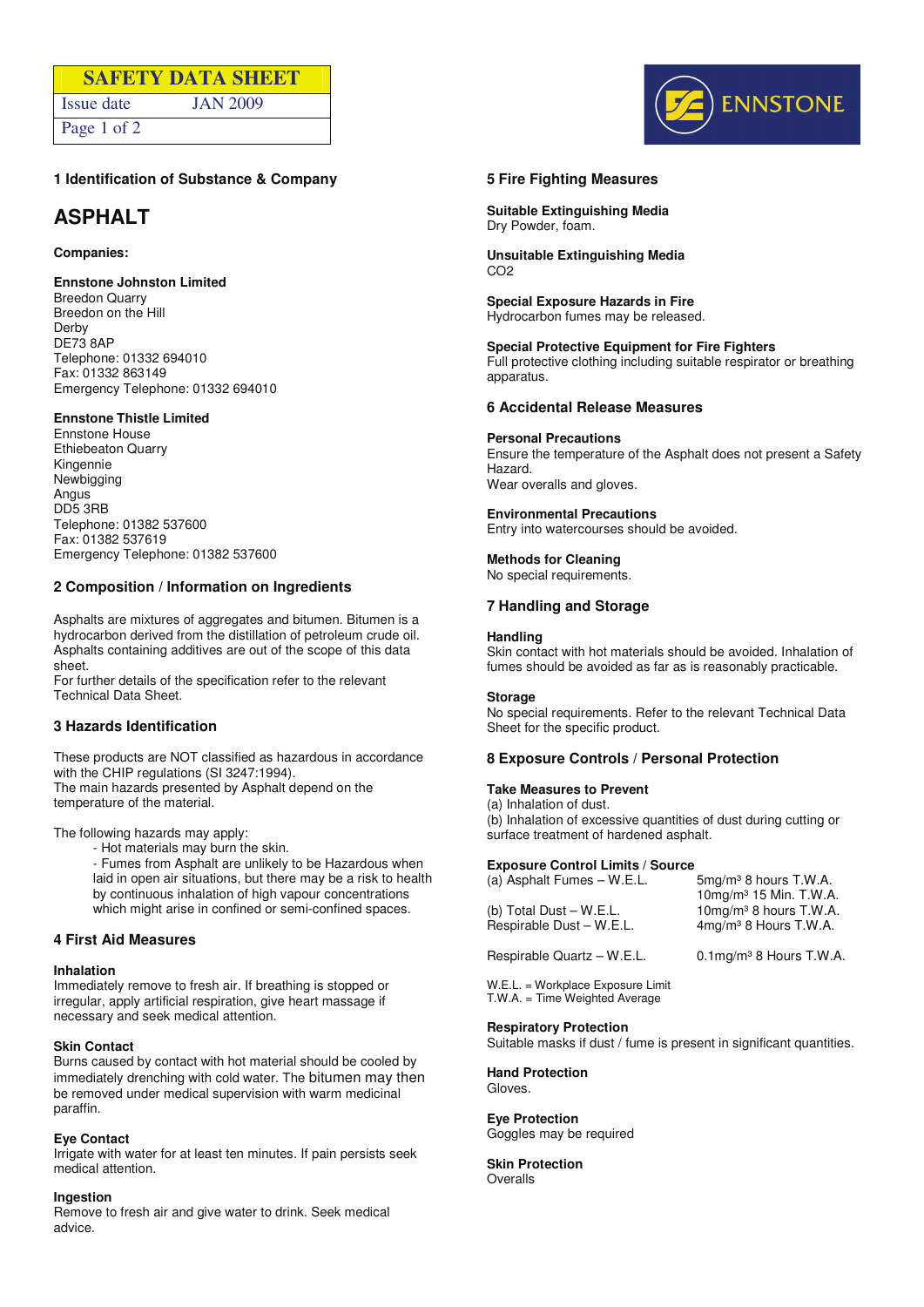# **SAFETY DATA SHEET**  Issue date JAN 2009

Page 1 of 2

DENNSTONE

## **1 Identification of Substance & Company**

# **ASPHALT**

## **Companies:**

## **Ennstone Johnston Limited**

Breedon Quarry Breedon on the Hill Derby DE73 8AP Telephone: 01332 694010 Fax: 01332 863149 Emergency Telephone: 01332 694010

## **Ennstone Thistle Limited**

Ennstone House Ethiebeaton Quarry Kingennie Newbigging Angus DD5 3RB Telephone: 01382 537600 Fax: 01382 537619 Emergency Telephone: 01382 537600

## **2 Composition / Information on Ingredients**

Asphalts are mixtures of aggregates and bitumen. Bitumen is a hydrocarbon derived from the distillation of petroleum crude oil. Asphalts containing additives are out of the scope of this data sheet.

For further details of the specification refer to the relevant Technical Data Sheet.

## **3 Hazards Identification**

These products are NOT classified as hazardous in accordance with the CHIP regulations (SI 3247:1994). The main hazards presented by Asphalt depend on the temperature of the material.

The following hazards may apply:

- Hot materials may burn the skin.
- Fumes from Asphalt are unlikely to be Hazardous when laid in open air situations, but there may be a risk to health by continuous inhalation of high vapour concentrations which might arise in confined or semi-confined spaces.

## **4 First Aid Measures**

#### **Inhalation**

Immediately remove to fresh air. If breathing is stopped or irregular, apply artificial respiration, give heart massage if necessary and seek medical attention.

## **Skin Contact**

Burns caused by contact with hot material should be cooled by immediately drenching with cold water. The bitumen may then be removed under medical supervision with warm medicinal paraffin.

## **Eye Contact**

Irrigate with water for at least ten minutes. If pain persists seek medical attention.

#### **Ingestion**

Remove to fresh air and give water to drink. Seek medical advice.

## **5 Fire Fighting Measures**

**Suitable Extinguishing Media**  Dry Powder, foam.

**Unsuitable Extinguishing Media**  CO2

**Special Exposure Hazards in Fire**  Hydrocarbon fumes may be released.

### **Special Protective Equipment for Fire Fighters**

Full protective clothing including suitable respirator or breathing apparatus.

## **6 Accidental Release Measures**

**Personal Precautions** 

Ensure the temperature of the Asphalt does not present a Safety Hazard. Wear overalls and gloves.

## **Environmental Precautions**

Entry into watercourses should be avoided.

### **Methods for Cleaning**

No special requirements.

## **7 Handling and Storage**

### **Handling**

Skin contact with hot materials should be avoided. Inhalation of fumes should be avoided as far as is reasonably practicable.

#### **Storage**

No special requirements. Refer to the relevant Technical Data Sheet for the specific product.

## **8 Exposure Controls / Personal Protection**

## **Take Measures to Prevent**

(a) Inhalation of dust. (b) Inhalation of excessive quantities of dust during cutting or

## **Exposure Control Limits / Source**

surface treatment of hardened asphalt.

| (a) Asphalt Fumes - W.E.L. | 5mg/m <sup>3</sup> 8 hours T.W.A.<br>$10\,\text{mg/m}^3$ 15 Min. T.W.A. |
|----------------------------|-------------------------------------------------------------------------|
| (b) Total Dust $-W.E.L.$   | $10$ mg/m $3$ 8 hours T.W.A.                                            |
| Respirable Dust - W.E.L.   | $4$ mg/m $3$ 8 Hours T.W.A.                                             |

Respirable Quartz – W.E.L. 0.1mg/m<sup>3</sup> 8 Hours T.W.A.

W.E.L. = Workplace Exposure Limit T.W.A. = Time Weighted Average

#### **Respiratory Protection**

Suitable masks if dust / fume is present in significant quantities.

**Hand Protection**  Gloves.

## **Eye Protection**

Goggles may be required

**Skin Protection**  Overalls